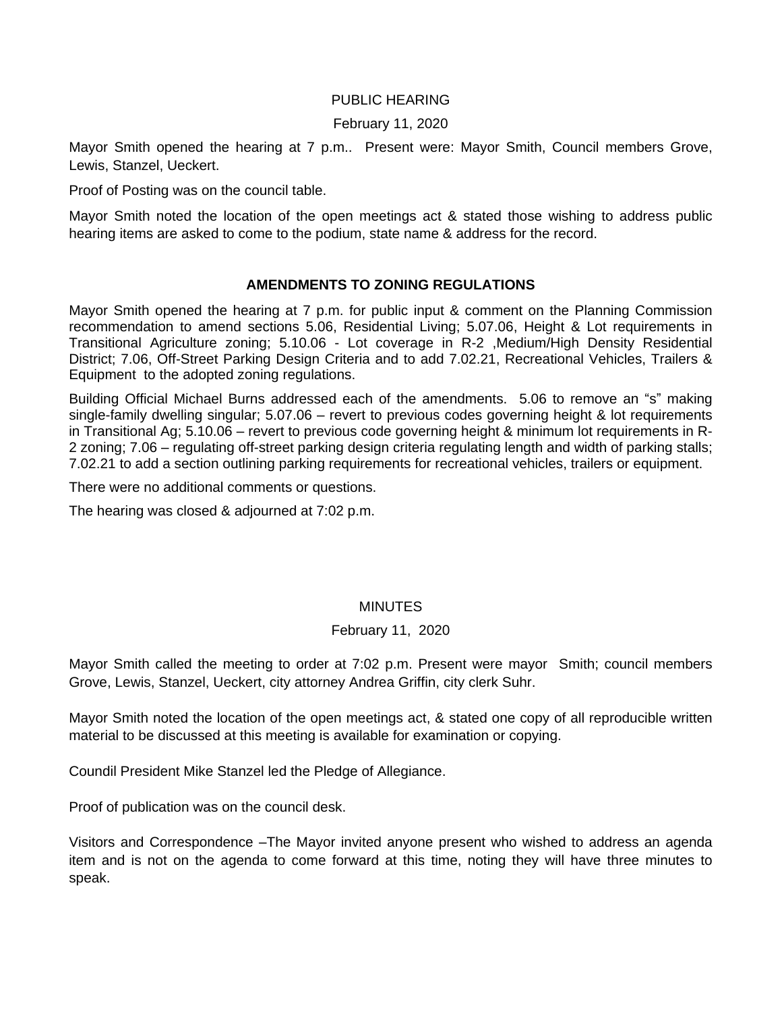## PUBLIC HEARING

### February 11, 2020

Mayor Smith opened the hearing at 7 p.m.. Present were: Mayor Smith, Council members Grove, Lewis, Stanzel, Ueckert.

Proof of Posting was on the council table.

Mayor Smith noted the location of the open meetings act & stated those wishing to address public hearing items are asked to come to the podium, state name & address for the record.

# **AMENDMENTS TO ZONING REGULATIONS**

Mayor Smith opened the hearing at 7 p.m. for public input & comment on the Planning Commission recommendation to amend sections 5.06, Residential Living; 5.07.06, Height & Lot requirements in Transitional Agriculture zoning; 5.10.06 - Lot coverage in R-2 ,Medium/High Density Residential District; 7.06, Off-Street Parking Design Criteria and to add 7.02.21, Recreational Vehicles, Trailers & Equipment to the adopted zoning regulations.

Building Official Michael Burns addressed each of the amendments. 5.06 to remove an "s" making single-family dwelling singular; 5.07.06 – revert to previous codes governing height & lot requirements in Transitional Ag; 5.10.06 – revert to previous code governing height & minimum lot requirements in R-2 zoning; 7.06 – regulating off-street parking design criteria regulating length and width of parking stalls; 7.02.21 to add a section outlining parking requirements for recreational vehicles, trailers or equipment.

There were no additional comments or questions.

The hearing was closed & adjourned at 7:02 p.m.

### **MINUTES**

### February 11, 2020

Mayor Smith called the meeting to order at 7:02 p.m. Present were mayor Smith; council members Grove, Lewis, Stanzel, Ueckert, city attorney Andrea Griffin, city clerk Suhr.

Mayor Smith noted the location of the open meetings act, & stated one copy of all reproducible written material to be discussed at this meeting is available for examination or copying.

Coundil President Mike Stanzel led the Pledge of Allegiance.

Proof of publication was on the council desk.

Visitors and Correspondence –The Mayor invited anyone present who wished to address an agenda item and is not on the agenda to come forward at this time, noting they will have three minutes to speak.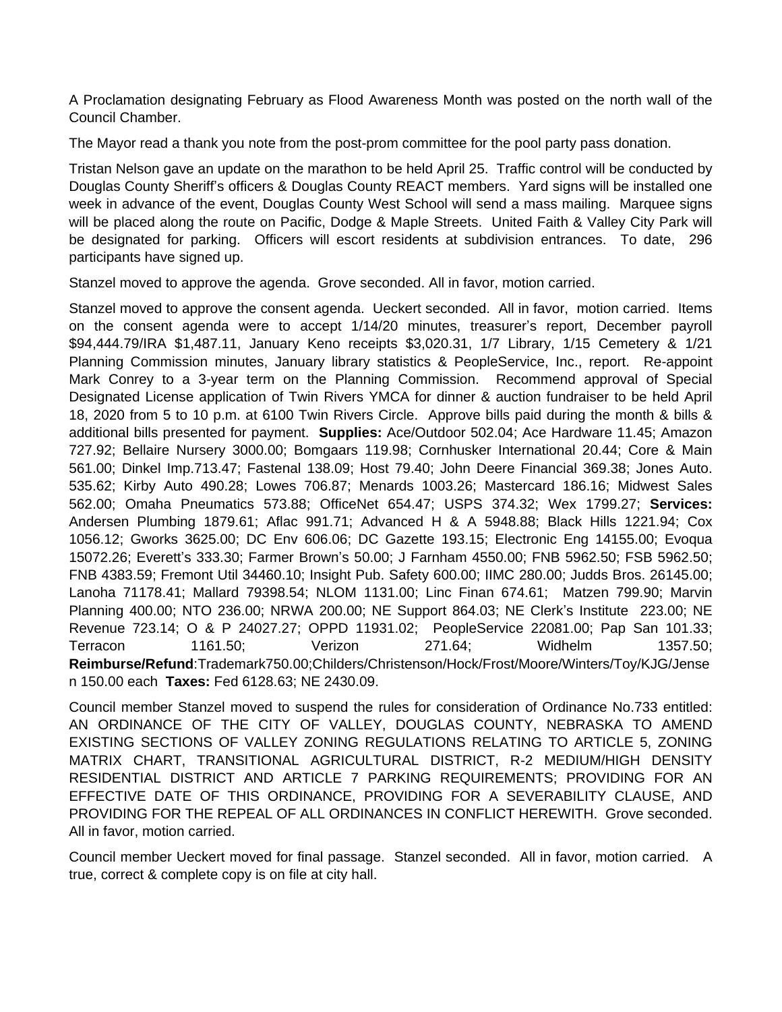A Proclamation designating February as Flood Awareness Month was posted on the north wall of the Council Chamber.

The Mayor read a thank you note from the post-prom committee for the pool party pass donation.

Tristan Nelson gave an update on the marathon to be held April 25. Traffic control will be conducted by Douglas County Sheriff's officers & Douglas County REACT members. Yard signs will be installed one week in advance of the event, Douglas County West School will send a mass mailing. Marquee signs will be placed along the route on Pacific, Dodge & Maple Streets. United Faith & Valley City Park will be designated for parking. Officers will escort residents at subdivision entrances. To date, 296 participants have signed up.

Stanzel moved to approve the agenda. Grove seconded. All in favor, motion carried.

Stanzel moved to approve the consent agenda. Ueckert seconded. All in favor, motion carried. Items on the consent agenda were to accept 1/14/20 minutes, treasurer's report, December payroll \$94,444.79/IRA \$1,487.11, January Keno receipts \$3,020.31, 1/7 Library, 1/15 Cemetery & 1/21 Planning Commission minutes, January library statistics & PeopleService, Inc., report. Re-appoint Mark Conrey to a 3-year term on the Planning Commission. Recommend approval of Special Designated License application of Twin Rivers YMCA for dinner & auction fundraiser to be held April 18, 2020 from 5 to 10 p.m. at 6100 Twin Rivers Circle. Approve bills paid during the month & bills & additional bills presented for payment. **Supplies:** Ace/Outdoor 502.04; Ace Hardware 11.45; Amazon 727.92; Bellaire Nursery 3000.00; Bomgaars 119.98; Cornhusker International 20.44; Core & Main 561.00; Dinkel Imp.713.47; Fastenal 138.09; Host 79.40; John Deere Financial 369.38; Jones Auto. 535.62; Kirby Auto 490.28; Lowes 706.87; Menards 1003.26; Mastercard 186.16; Midwest Sales 562.00; Omaha Pneumatics 573.88; OfficeNet 654.47; USPS 374.32; Wex 1799.27; **Services:** Andersen Plumbing 1879.61; Aflac 991.71; Advanced H & A 5948.88; Black Hills 1221.94; Cox 1056.12; Gworks 3625.00; DC Env 606.06; DC Gazette 193.15; Electronic Eng 14155.00; Evoqua 15072.26; Everett's 333.30; Farmer Brown's 50.00; J Farnham 4550.00; FNB 5962.50; FSB 5962.50; FNB 4383.59; Fremont Util 34460.10; Insight Pub. Safety 600.00; IIMC 280.00; Judds Bros. 26145.00; Lanoha 71178.41; Mallard 79398.54; NLOM 1131.00; Linc Finan 674.61; Matzen 799.90; Marvin Planning 400.00; NTO 236.00; NRWA 200.00; NE Support 864.03; NE Clerk's Institute 223.00; NE Revenue 723.14; O & P 24027.27; OPPD 11931.02; PeopleService 22081.00; Pap San 101.33; Terracon 1161.50; Verizon 271.64; Widhelm 1357.50; **Reimburse/Refund**:Trademark750.00;Childers/Christenson/Hock/Frost/Moore/Winters/Toy/KJG/Jense n 150.00 each **Taxes:** Fed 6128.63; NE 2430.09.

Council member Stanzel moved to suspend the rules for consideration of Ordinance No.733 entitled: AN ORDINANCE OF THE CITY OF VALLEY, DOUGLAS COUNTY, NEBRASKA TO AMEND EXISTING SECTIONS OF VALLEY ZONING REGULATIONS RELATING TO ARTICLE 5, ZONING MATRIX CHART, TRANSITIONAL AGRICULTURAL DISTRICT, R-2 MEDIUM/HIGH DENSITY RESIDENTIAL DISTRICT AND ARTICLE 7 PARKING REQUIREMENTS; PROVIDING FOR AN EFFECTIVE DATE OF THIS ORDINANCE, PROVIDING FOR A SEVERABILITY CLAUSE, AND PROVIDING FOR THE REPEAL OF ALL ORDINANCES IN CONFLICT HEREWITH. Grove seconded. All in favor, motion carried.

Council member Ueckert moved for final passage. Stanzel seconded. All in favor, motion carried. A true, correct & complete copy is on file at city hall.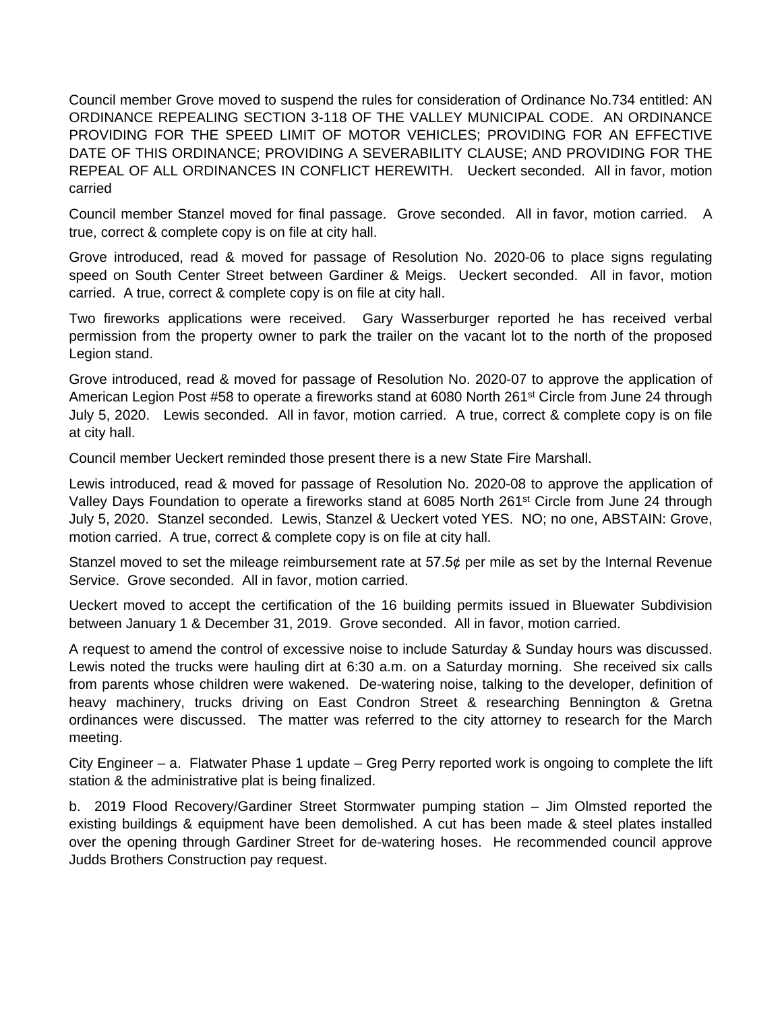Council member Grove moved to suspend the rules for consideration of Ordinance No.734 entitled: AN ORDINANCE REPEALING SECTION 3-118 OF THE VALLEY MUNICIPAL CODE. AN ORDINANCE PROVIDING FOR THE SPEED LIMIT OF MOTOR VEHICLES; PROVIDING FOR AN EFFECTIVE DATE OF THIS ORDINANCE; PROVIDING A SEVERABILITY CLAUSE; AND PROVIDING FOR THE REPEAL OF ALL ORDINANCES IN CONFLICT HEREWITH. Ueckert seconded. All in favor, motion carried

Council member Stanzel moved for final passage. Grove seconded. All in favor, motion carried. A true, correct & complete copy is on file at city hall.

Grove introduced, read & moved for passage of Resolution No. 2020-06 to place signs regulating speed on South Center Street between Gardiner & Meigs. Ueckert seconded. All in favor, motion carried. A true, correct & complete copy is on file at city hall.

Two fireworks applications were received. Gary Wasserburger reported he has received verbal permission from the property owner to park the trailer on the vacant lot to the north of the proposed Legion stand.

Grove introduced, read & moved for passage of Resolution No. 2020-07 to approve the application of American Legion Post #58 to operate a fireworks stand at 6080 North 261<sup>st</sup> Circle from June 24 through July 5, 2020. Lewis seconded. All in favor, motion carried. A true, correct & complete copy is on file at city hall.

Council member Ueckert reminded those present there is a new State Fire Marshall.

Lewis introduced, read & moved for passage of Resolution No. 2020-08 to approve the application of Valley Days Foundation to operate a fireworks stand at 6085 North 261st Circle from June 24 through July 5, 2020. Stanzel seconded. Lewis, Stanzel & Ueckert voted YES. NO; no one, ABSTAIN: Grove, motion carried. A true, correct & complete copy is on file at city hall.

Stanzel moved to set the mileage reimbursement rate at 57.5¢ per mile as set by the Internal Revenue Service. Grove seconded. All in favor, motion carried.

Ueckert moved to accept the certification of the 16 building permits issued in Bluewater Subdivision between January 1 & December 31, 2019. Grove seconded. All in favor, motion carried.

A request to amend the control of excessive noise to include Saturday & Sunday hours was discussed. Lewis noted the trucks were hauling dirt at 6:30 a.m. on a Saturday morning. She received six calls from parents whose children were wakened. De-watering noise, talking to the developer, definition of heavy machinery, trucks driving on East Condron Street & researching Bennington & Gretna ordinances were discussed. The matter was referred to the city attorney to research for the March meeting.

City Engineer – a. Flatwater Phase 1 update – Greg Perry reported work is ongoing to complete the lift station & the administrative plat is being finalized.

b. 2019 Flood Recovery/Gardiner Street Stormwater pumping station – Jim Olmsted reported the existing buildings & equipment have been demolished. A cut has been made & steel plates installed over the opening through Gardiner Street for de-watering hoses. He recommended council approve Judds Brothers Construction pay request.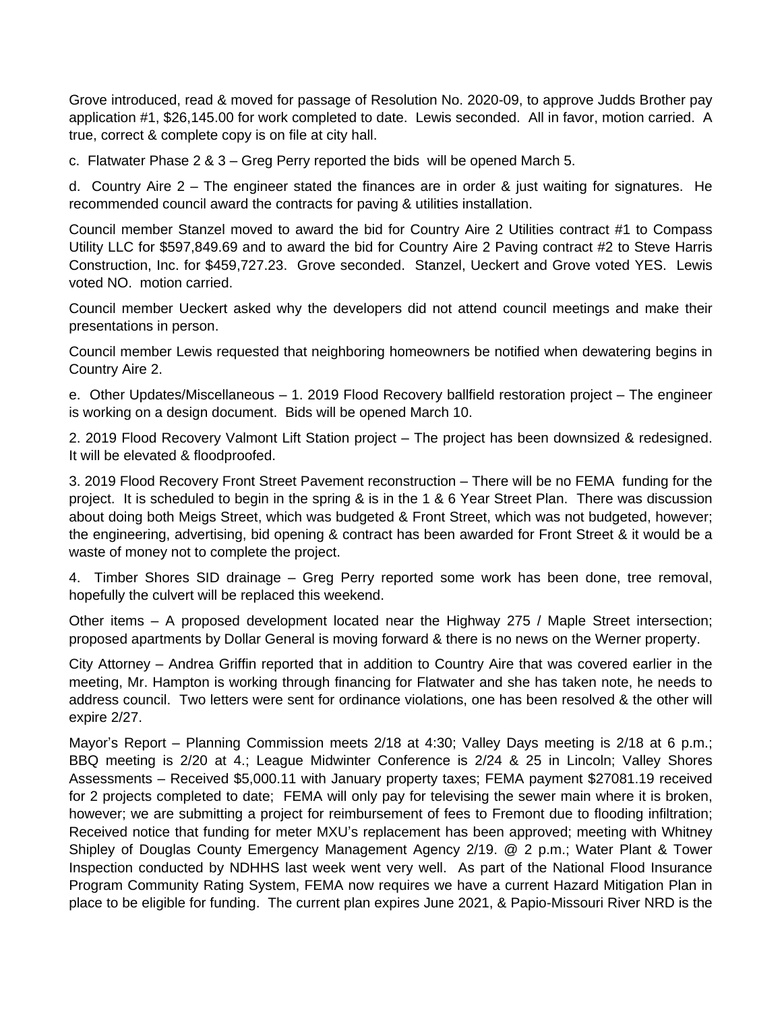Grove introduced, read & moved for passage of Resolution No. 2020-09, to approve Judds Brother pay application #1, \$26,145.00 for work completed to date. Lewis seconded. All in favor, motion carried. A true, correct & complete copy is on file at city hall.

c. Flatwater Phase 2 & 3 – Greg Perry reported the bids will be opened March 5.

d. Country Aire 2 – The engineer stated the finances are in order & just waiting for signatures. He recommended council award the contracts for paving & utilities installation.

Council member Stanzel moved to award the bid for Country Aire 2 Utilities contract #1 to Compass Utility LLC for \$597,849.69 and to award the bid for Country Aire 2 Paving contract #2 to Steve Harris Construction, Inc. for \$459,727.23. Grove seconded. Stanzel, Ueckert and Grove voted YES. Lewis voted NO. motion carried.

Council member Ueckert asked why the developers did not attend council meetings and make their presentations in person.

Council member Lewis requested that neighboring homeowners be notified when dewatering begins in Country Aire 2.

e. Other Updates/Miscellaneous – 1. 2019 Flood Recovery ballfield restoration project – The engineer is working on a design document. Bids will be opened March 10.

2. 2019 Flood Recovery Valmont Lift Station project – The project has been downsized & redesigned. It will be elevated & floodproofed.

3. 2019 Flood Recovery Front Street Pavement reconstruction – There will be no FEMA funding for the project. It is scheduled to begin in the spring & is in the 1 & 6 Year Street Plan. There was discussion about doing both Meigs Street, which was budgeted & Front Street, which was not budgeted, however; the engineering, advertising, bid opening & contract has been awarded for Front Street & it would be a waste of money not to complete the project.

4. Timber Shores SID drainage – Greg Perry reported some work has been done, tree removal, hopefully the culvert will be replaced this weekend.

Other items – A proposed development located near the Highway 275 / Maple Street intersection; proposed apartments by Dollar General is moving forward & there is no news on the Werner property.

City Attorney – Andrea Griffin reported that in addition to Country Aire that was covered earlier in the meeting, Mr. Hampton is working through financing for Flatwater and she has taken note, he needs to address council. Two letters were sent for ordinance violations, one has been resolved & the other will expire 2/27.

Mayor's Report – Planning Commission meets 2/18 at 4:30; Valley Days meeting is 2/18 at 6 p.m.; BBQ meeting is 2/20 at 4.; League Midwinter Conference is 2/24 & 25 in Lincoln; Valley Shores Assessments – Received \$5,000.11 with January property taxes; FEMA payment \$27081.19 received for 2 projects completed to date; FEMA will only pay for televising the sewer main where it is broken, however; we are submitting a project for reimbursement of fees to Fremont due to flooding infiltration; Received notice that funding for meter MXU's replacement has been approved; meeting with Whitney Shipley of Douglas County Emergency Management Agency 2/19. @ 2 p.m.; Water Plant & Tower Inspection conducted by NDHHS last week went very well. As part of the National Flood Insurance Program Community Rating System, FEMA now requires we have a current Hazard Mitigation Plan in place to be eligible for funding. The current plan expires June 2021, & Papio-Missouri River NRD is the